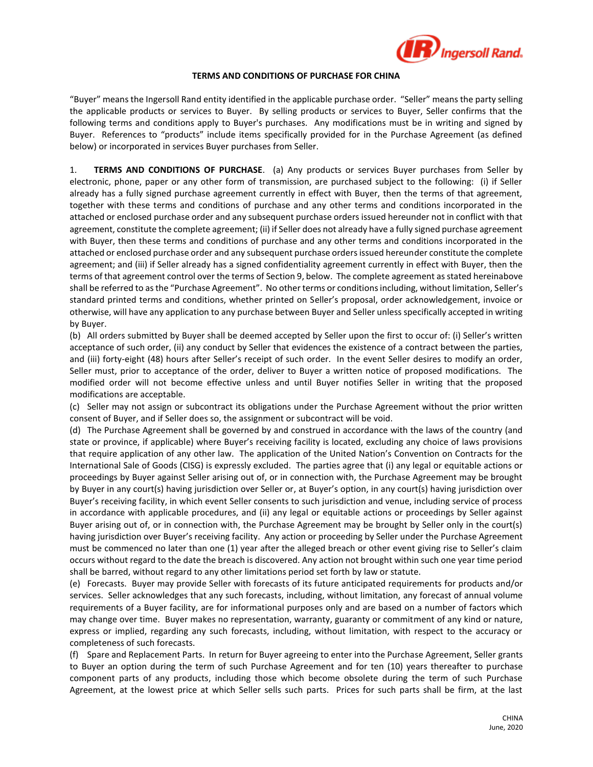

## **TERMS AND CONDITIONS OF PURCHASE FOR CHINA**

"Buyer" means the Ingersoll Rand entity identified in the applicable purchase order. "Seller" means the party selling the applicable products or services to Buyer. By selling products or services to Buyer, Seller confirms that the following terms and conditions apply to Buyer's purchases. Any modifications must be in writing and signed by Buyer. References to "products" include items specifically provided for in the Purchase Agreement (as defined below) or incorporated in services Buyer purchases from Seller.

1. **TERMS AND CONDITIONS OF PURCHASE**. (a) Any products or services Buyer purchases from Seller by electronic, phone, paper or any other form of transmission, are purchased subject to the following: (i) if Seller already has a fully signed purchase agreement currently in effect with Buyer, then the terms of that agreement, together with these terms and conditions of purchase and any other terms and conditions incorporated in the attached or enclosed purchase order and any subsequent purchase orders issued hereunder not in conflict with that agreement, constitute the complete agreement; (ii) if Seller does not already have a fully signed purchase agreement with Buyer, then these terms and conditions of purchase and any other terms and conditions incorporated in the attached or enclosed purchase order and any subsequent purchase orders issued hereunder constitute the complete agreement; and (iii) if Seller already has a signed confidentiality agreement currently in effect with Buyer, then the terms of that agreement control over the terms of Section 9, below. The complete agreement as stated hereinabove shall be referred to as the "Purchase Agreement". No other terms or conditions including, without limitation, Seller's standard printed terms and conditions, whether printed on Seller's proposal, order acknowledgement, invoice or otherwise, will have any application to any purchase between Buyer and Seller unless specifically accepted in writing by Buyer.

(b) All orders submitted by Buyer shall be deemed accepted by Seller upon the first to occur of: (i) Seller's written acceptance of such order, (ii) any conduct by Seller that evidences the existence of a contract between the parties, and (iii) forty-eight (48) hours after Seller's receipt of such order. In the event Seller desires to modify an order, Seller must, prior to acceptance of the order, deliver to Buyer a written notice of proposed modifications. The modified order will not become effective unless and until Buyer notifies Seller in writing that the proposed modifications are acceptable.

(c) Seller may not assign or subcontract its obligations under the Purchase Agreement without the prior written consent of Buyer, and if Seller does so, the assignment or subcontract will be void.

(d) The Purchase Agreement shall be governed by and construed in accordance with the laws of the country (and state or province, if applicable) where Buyer's receiving facility is located, excluding any choice of laws provisions that require application of any other law. The application of the United Nation's Convention on Contracts for the International Sale of Goods (CISG) is expressly excluded. The parties agree that (i) any legal or equitable actions or proceedings by Buyer against Seller arising out of, or in connection with, the Purchase Agreement may be brought by Buyer in any court(s) having jurisdiction over Seller or, at Buyer's option, in any court(s) having jurisdiction over Buyer's receiving facility, in which event Seller consents to such jurisdiction and venue, including service of process in accordance with applicable procedures, and (ii) any legal or equitable actions or proceedings by Seller against Buyer arising out of, or in connection with, the Purchase Agreement may be brought by Seller only in the court(s) having jurisdiction over Buyer's receiving facility. Any action or proceeding by Seller under the Purchase Agreement must be commenced no later than one (1) year after the alleged breach or other event giving rise to Seller's claim occurs without regard to the date the breach is discovered. Any action not brought within such one year time period shall be barred, without regard to any other limitations period set forth by law or statute.

(e) Forecasts. Buyer may provide Seller with forecasts of its future anticipated requirements for products and/or services. Seller acknowledges that any such forecasts, including, without limitation, any forecast of annual volume requirements of a Buyer facility, are for informational purposes only and are based on a number of factors which may change over time. Buyer makes no representation, warranty, guaranty or commitment of any kind or nature, express or implied, regarding any such forecasts, including, without limitation, with respect to the accuracy or completeness of such forecasts.

(f) Spare and Replacement Parts. In return for Buyer agreeing to enter into the Purchase Agreement, Seller grants to Buyer an option during the term of such Purchase Agreement and for ten (10) years thereafter to purchase component parts of any products, including those which become obsolete during the term of such Purchase Agreement, at the lowest price at which Seller sells such parts. Prices for such parts shall be firm, at the last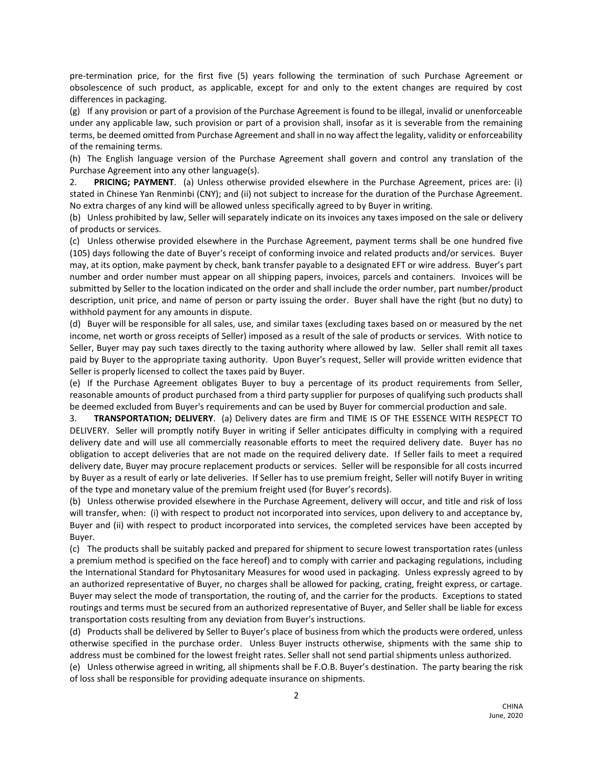pre-termination price, for the first five (5) years following the termination of such Purchase Agreement or obsolescence of such product, as applicable, except for and only to the extent changes are required by cost differences in packaging.

(g) If any provision or part of a provision of the Purchase Agreement is found to be illegal, invalid or unenforceable under any applicable law, such provision or part of a provision shall, insofar as it is severable from the remaining terms, be deemed omitted from Purchase Agreement and shall in no way affect the legality, validity or enforceability of the remaining terms.

(h) The English language version of the Purchase Agreement shall govern and control any translation of the Purchase Agreement into any other language(s).

2. **PRICING; PAYMENT**. (a) Unless otherwise provided elsewhere in the Purchase Agreement, prices are: (i) stated in Chinese Yan Renminbi (CNY); and (ii) not subject to increase for the duration of the Purchase Agreement. No extra charges of any kind will be allowed unless specifically agreed to by Buyer in writing.

(b) Unless prohibited by law, Seller will separately indicate on its invoices any taxes imposed on the sale or delivery of products or services.

(c) Unless otherwise provided elsewhere in the Purchase Agreement, payment terms shall be one hundred five (105) days following the date of Buyer's receipt of conforming invoice and related products and/or services. Buyer may, at its option, make payment by check, bank transfer payable to a designated EFT or wire address. Buyer's part number and order number must appear on all shipping papers, invoices, parcels and containers. Invoices will be submitted by Seller to the location indicated on the order and shall include the order number, part number/product description, unit price, and name of person or party issuing the order. Buyer shall have the right (but no duty) to withhold payment for any amounts in dispute.

(d) Buyer will be responsible for all sales, use, and similar taxes (excluding taxes based on or measured by the net income, net worth or gross receipts of Seller) imposed as a result of the sale of products or services. With notice to Seller, Buyer may pay such taxes directly to the taxing authority where allowed by law. Seller shall remit all taxes paid by Buyer to the appropriate taxing authority. Upon Buyer's request, Seller will provide written evidence that Seller is properly licensed to collect the taxes paid by Buyer.

(e) If the Purchase Agreement obligates Buyer to buy a percentage of its product requirements from Seller, reasonable amounts of product purchased from a third party supplier for purposes of qualifying such products shall be deemed excluded from Buyer's requirements and can be used by Buyer for commercial production and sale.

3. **TRANSPORTATION; DELIVERY**. (a) Delivery dates are firm and TIME IS OF THE ESSENCE WITH RESPECT TO DELIVERY. Seller will promptly notify Buyer in writing if Seller anticipates difficulty in complying with a required delivery date and will use all commercially reasonable efforts to meet the required delivery date. Buyer has no obligation to accept deliveries that are not made on the required delivery date. If Seller fails to meet a required delivery date, Buyer may procure replacement products or services. Seller will be responsible for all costs incurred by Buyer as a result of early or late deliveries. If Seller has to use premium freight, Seller will notify Buyer in writing of the type and monetary value of the premium freight used (for Buyer's records).

(b) Unless otherwise provided elsewhere in the Purchase Agreement, delivery will occur, and title and risk of loss will transfer, when: (i) with respect to product not incorporated into services, upon delivery to and acceptance by, Buyer and (ii) with respect to product incorporated into services, the completed services have been accepted by Buyer.

(c) The products shall be suitably packed and prepared for shipment to secure lowest transportation rates (unless a premium method is specified on the face hereof) and to comply with carrier and packaging regulations, including the International Standard for Phytosanitary Measures for wood used in packaging. Unless expressly agreed to by an authorized representative of Buyer, no charges shall be allowed for packing, crating, freight express, or cartage. Buyer may select the mode of transportation, the routing of, and the carrier for the products. Exceptions to stated routings and terms must be secured from an authorized representative of Buyer, and Seller shall be liable for excess transportation costs resulting from any deviation from Buyer's instructions.

(d) Products shall be delivered by Seller to Buyer's place of business from which the products were ordered, unless otherwise specified in the purchase order. Unless Buyer instructs otherwise, shipments with the same ship to address must be combined for the lowest freight rates. Seller shall not send partial shipments unless authorized.

(e) Unless otherwise agreed in writing, all shipments shall be F.O.B. Buyer's destination. The party bearing the risk of loss shall be responsible for providing adequate insurance on shipments.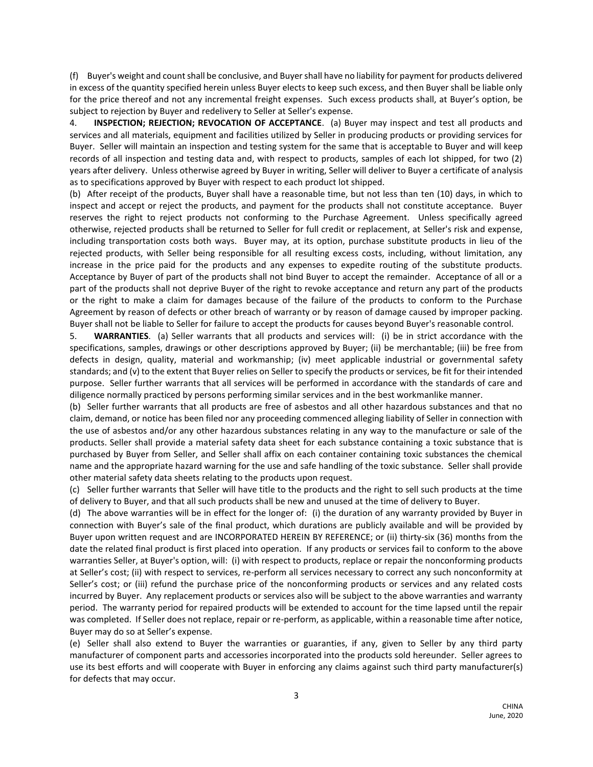(f) Buyer's weight and count shall be conclusive, and Buyer shall have no liability for payment for products delivered in excess of the quantity specified herein unless Buyer elects to keep such excess, and then Buyer shall be liable only for the price thereof and not any incremental freight expenses. Such excess products shall, at Buyer's option, be subject to rejection by Buyer and redelivery to Seller at Seller's expense.

4. **INSPECTION; REJECTION; REVOCATION OF ACCEPTANCE**. (a) Buyer may inspect and test all products and services and all materials, equipment and facilities utilized by Seller in producing products or providing services for Buyer. Seller will maintain an inspection and testing system for the same that is acceptable to Buyer and will keep records of all inspection and testing data and, with respect to products, samples of each lot shipped, for two (2) years after delivery. Unless otherwise agreed by Buyer in writing, Seller will deliver to Buyer a certificate of analysis as to specifications approved by Buyer with respect to each product lot shipped.

(b) After receipt of the products, Buyer shall have a reasonable time, but not less than ten (10) days, in which to inspect and accept or reject the products, and payment for the products shall not constitute acceptance. Buyer reserves the right to reject products not conforming to the Purchase Agreement. Unless specifically agreed otherwise, rejected products shall be returned to Seller for full credit or replacement, at Seller's risk and expense, including transportation costs both ways. Buyer may, at its option, purchase substitute products in lieu of the rejected products, with Seller being responsible for all resulting excess costs, including, without limitation, any increase in the price paid for the products and any expenses to expedite routing of the substitute products. Acceptance by Buyer of part of the products shall not bind Buyer to accept the remainder. Acceptance of all or a part of the products shall not deprive Buyer of the right to revoke acceptance and return any part of the products or the right to make a claim for damages because of the failure of the products to conform to the Purchase Agreement by reason of defects or other breach of warranty or by reason of damage caused by improper packing. Buyer shall not be liable to Seller for failure to accept the products for causes beyond Buyer's reasonable control.

5. **WARRANTIES**. (a) Seller warrants that all products and services will: (i) be in strict accordance with the specifications, samples, drawings or other descriptions approved by Buyer; (ii) be merchantable; (iii) be free from defects in design, quality, material and workmanship; (iv) meet applicable industrial or governmental safety standards; and (v) to the extent that Buyer relies on Seller to specify the products or services, be fit for their intended purpose. Seller further warrants that all services will be performed in accordance with the standards of care and diligence normally practiced by persons performing similar services and in the best workmanlike manner.

(b) Seller further warrants that all products are free of asbestos and all other hazardous substances and that no claim, demand, or notice has been filed nor any proceeding commenced alleging liability of Seller in connection with the use of asbestos and/or any other hazardous substances relating in any way to the manufacture or sale of the products. Seller shall provide a material safety data sheet for each substance containing a toxic substance that is purchased by Buyer from Seller, and Seller shall affix on each container containing toxic substances the chemical name and the appropriate hazard warning for the use and safe handling of the toxic substance. Seller shall provide other material safety data sheets relating to the products upon request.

(c) Seller further warrants that Seller will have title to the products and the right to sell such products at the time of delivery to Buyer, and that all such products shall be new and unused at the time of delivery to Buyer.

(d) The above warranties will be in effect for the longer of: (i) the duration of any warranty provided by Buyer in connection with Buyer's sale of the final product, which durations are publicly available and will be provided by Buyer upon written request and are INCORPORATED HEREIN BY REFERENCE; or (ii) thirty-six (36) months from the date the related final product is first placed into operation. If any products or services fail to conform to the above warranties Seller, at Buyer's option, will: (i) with respect to products, replace or repair the nonconforming products at Seller's cost; (ii) with respect to services, re-perform all services necessary to correct any such nonconformity at Seller's cost; or (iii) refund the purchase price of the nonconforming products or services and any related costs incurred by Buyer. Any replacement products or services also will be subject to the above warranties and warranty period. The warranty period for repaired products will be extended to account for the time lapsed until the repair was completed. If Seller does not replace, repair or re-perform, as applicable, within a reasonable time after notice, Buyer may do so at Seller's expense.

(e) Seller shall also extend to Buyer the warranties or guaranties, if any, given to Seller by any third party manufacturer of component parts and accessories incorporated into the products sold hereunder. Seller agrees to use its best efforts and will cooperate with Buyer in enforcing any claims against such third party manufacturer(s) for defects that may occur.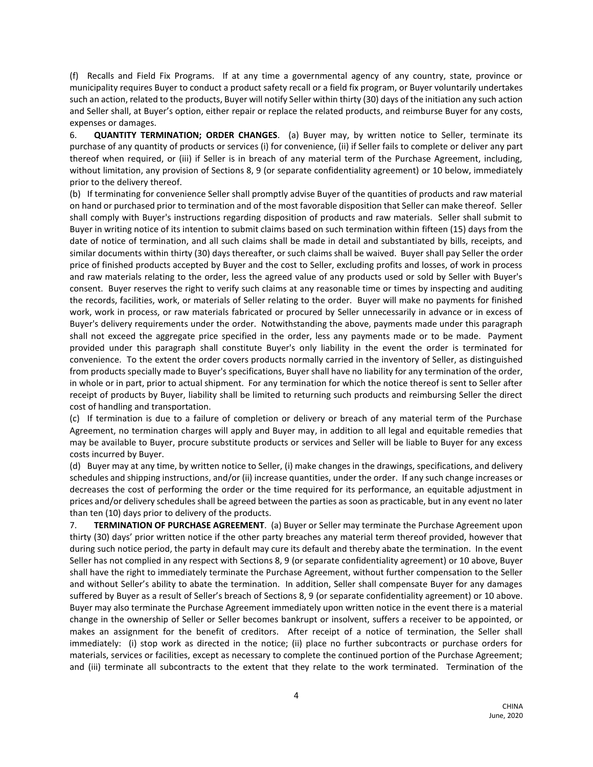(f) Recalls and Field Fix Programs. If at any time a governmental agency of any country, state, province or municipality requires Buyer to conduct a product safety recall or a field fix program, or Buyer voluntarily undertakes such an action, related to the products, Buyer will notify Seller within thirty (30) days of the initiation any such action and Seller shall, at Buyer's option, either repair or replace the related products, and reimburse Buyer for any costs, expenses or damages.

6. **QUANTITY TERMINATION; ORDER CHANGES**. (a) Buyer may, by written notice to Seller, terminate its purchase of any quantity of products or services (i) for convenience, (ii) if Seller fails to complete or deliver any part thereof when required, or (iii) if Seller is in breach of any material term of the Purchase Agreement, including, without limitation, any provision of Sections 8, 9 (or separate confidentiality agreement) or 10 below, immediately prior to the delivery thereof.

(b) If terminating for convenience Seller shall promptly advise Buyer of the quantities of products and raw material on hand or purchased prior to termination and of the most favorable disposition that Seller can make thereof. Seller shall comply with Buyer's instructions regarding disposition of products and raw materials. Seller shall submit to Buyer in writing notice of its intention to submit claims based on such termination within fifteen (15) days from the date of notice of termination, and all such claims shall be made in detail and substantiated by bills, receipts, and similar documents within thirty (30) days thereafter, or such claims shall be waived. Buyer shall pay Seller the order price of finished products accepted by Buyer and the cost to Seller, excluding profits and losses, of work in process and raw materials relating to the order, less the agreed value of any products used or sold by Seller with Buyer's consent. Buyer reserves the right to verify such claims at any reasonable time or times by inspecting and auditing the records, facilities, work, or materials of Seller relating to the order. Buyer will make no payments for finished work, work in process, or raw materials fabricated or procured by Seller unnecessarily in advance or in excess of Buyer's delivery requirements under the order. Notwithstanding the above, payments made under this paragraph shall not exceed the aggregate price specified in the order, less any payments made or to be made. Payment provided under this paragraph shall constitute Buyer's only liability in the event the order is terminated for convenience. To the extent the order covers products normally carried in the inventory of Seller, as distinguished from products specially made to Buyer's specifications, Buyer shall have no liability for any termination of the order, in whole or in part, prior to actual shipment. For any termination for which the notice thereof is sent to Seller after receipt of products by Buyer, liability shall be limited to returning such products and reimbursing Seller the direct cost of handling and transportation.

(c) If termination is due to a failure of completion or delivery or breach of any material term of the Purchase Agreement, no termination charges will apply and Buyer may, in addition to all legal and equitable remedies that may be available to Buyer, procure substitute products or services and Seller will be liable to Buyer for any excess costs incurred by Buyer.

(d) Buyer may at any time, by written notice to Seller, (i) make changes in the drawings, specifications, and delivery schedules and shipping instructions, and/or (ii) increase quantities, under the order. If any such change increases or decreases the cost of performing the order or the time required for its performance, an equitable adjustment in prices and/or delivery schedules shall be agreed between the parties as soon as practicable, but in any event no later than ten (10) days prior to delivery of the products.

7. **TERMINATION OF PURCHASE AGREEMENT**. (a) Buyer or Seller may terminate the Purchase Agreement upon thirty (30) days' prior written notice if the other party breaches any material term thereof provided, however that during such notice period, the party in default may cure its default and thereby abate the termination. In the event Seller has not complied in any respect with Sections 8, 9 (or separate confidentiality agreement) or 10 above, Buyer shall have the right to immediately terminate the Purchase Agreement, without further compensation to the Seller and without Seller's ability to abate the termination. In addition, Seller shall compensate Buyer for any damages suffered by Buyer as a result of Seller's breach of Sections 8, 9 (or separate confidentiality agreement) or 10 above. Buyer may also terminate the Purchase Agreement immediately upon written notice in the event there is a material change in the ownership of Seller or Seller becomes bankrupt or insolvent, suffers a receiver to be appointed, or makes an assignment for the benefit of creditors. After receipt of a notice of termination, the Seller shall immediately: (i) stop work as directed in the notice; (ii) place no further subcontracts or purchase orders for materials, services or facilities, except as necessary to complete the continued portion of the Purchase Agreement; and (iii) terminate all subcontracts to the extent that they relate to the work terminated. Termination of the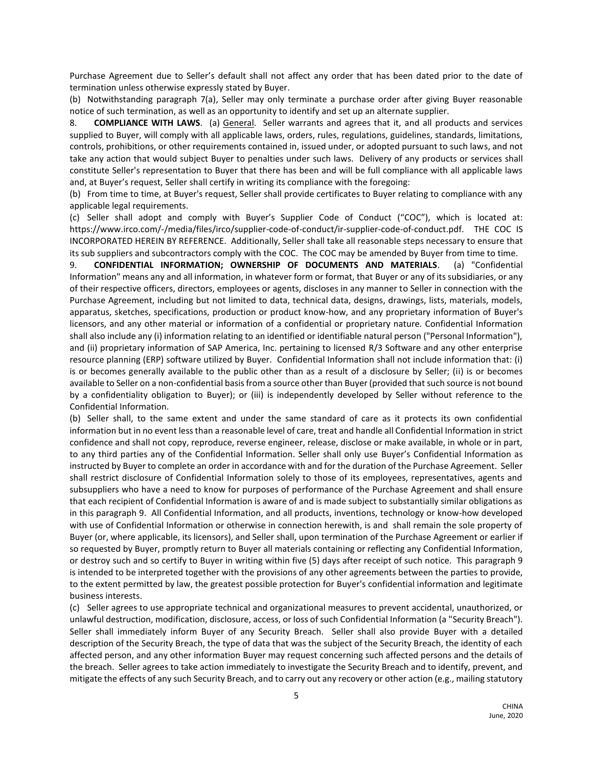Purchase Agreement due to Seller's default shall not affect any order that has been dated prior to the date of termination unless otherwise expressly stated by Buyer.

(b) Notwithstanding paragraph 7(a), Seller may only terminate a purchase order after giving Buyer reasonable notice of such termination, as well as an opportunity to identify and set up an alternate supplier.

8. **COMPLIANCE WITH LAWS**. (a) General. Seller warrants and agrees that it, and all products and services supplied to Buyer, will comply with all applicable laws, orders, rules, regulations, guidelines, standards, limitations, controls, prohibitions, or other requirements contained in, issued under, or adopted pursuant to such laws, and not take any action that would subject Buyer to penalties under such laws. Delivery of any products or services shall constitute Seller's representation to Buyer that there has been and will be full compliance with all applicable laws and, at Buyer's request, Seller shall certify in writing its compliance with the foregoing:

(b) From time to time, at Buyer's request, Seller shall provide certificates to Buyer relating to compliance with any applicable legal requirements.

(c) Seller shall adopt and comply with Buyer's Supplier Code of Conduct ("COC"), which is located at: https://www.irco.com/-/media/files/irco/supplier-code-of-conduct/ir-supplier-code-of-conduct.pdf. THE COC IS INCORPORATED HEREIN BY REFERENCE. Additionally, Seller shall take all reasonable steps necessary to ensure that its sub suppliers and subcontractors comply with the COC. The COC may be amended by Buyer from time to time.

9. **CONFIDENTIAL INFORMATION; OWNERSHIP OF DOCUMENTS AND MATERIALS**. (a) "Confidential Information" means any and all information, in whatever form or format, that Buyer or any of its subsidiaries, or any of their respective officers, directors, employees or agents, discloses in any manner to Seller in connection with the Purchase Agreement, including but not limited to data, technical data, designs, drawings, lists, materials, models, apparatus, sketches, specifications, production or product know-how, and any proprietary information of Buyer's licensors, and any other material or information of a confidential or proprietary nature. Confidential Information shall also include any (i) information relating to an identified or identifiable natural person ("Personal Information"), and (ii) proprietary information of SAP America, Inc. pertaining to licensed R/3 Software and any other enterprise resource planning (ERP) software utilized by Buyer. Confidential Information shall not include information that: (i) is or becomes generally available to the public other than as a result of a disclosure by Seller; (ii) is or becomes available to Seller on a non-confidential basis from a source other than Buyer (provided that such source is not bound by a confidentiality obligation to Buyer); or (iii) is independently developed by Seller without reference to the Confidential Information.

(b) Seller shall, to the same extent and under the same standard of care as it protects its own confidential information but in no event less than a reasonable level of care, treat and handle all Confidential Information in strict confidence and shall not copy, reproduce, reverse engineer, release, disclose or make available, in whole or in part, to any third parties any of the Confidential Information. Seller shall only use Buyer's Confidential Information as instructed by Buyer to complete an order in accordance with and for the duration of the Purchase Agreement. Seller shall restrict disclosure of Confidential Information solely to those of its employees, representatives, agents and subsuppliers who have a need to know for purposes of performance of the Purchase Agreement and shall ensure that each recipient of Confidential Information is aware of and is made subject to substantially similar obligations as in this paragraph 9. All Confidential Information, and all products, inventions, technology or know-how developed with use of Confidential Information or otherwise in connection herewith, is and shall remain the sole property of Buyer (or, where applicable, its licensors), and Seller shall, upon termination of the Purchase Agreement or earlier if so requested by Buyer, promptly return to Buyer all materials containing or reflecting any Confidential Information, or destroy such and so certify to Buyer in writing within five (5) days after receipt of such notice. This paragraph 9 is intended to be interpreted together with the provisions of any other agreements between the parties to provide, to the extent permitted by law, the greatest possible protection for Buyer's confidential information and legitimate business interests.

(c) Seller agrees to use appropriate technical and organizational measures to prevent accidental, unauthorized, or unlawful destruction, modification, disclosure, access, or loss of such Confidential Information (a "Security Breach"). Seller shall immediately inform Buyer of any Security Breach. Seller shall also provide Buyer with a detailed description of the Security Breach, the type of data that was the subject of the Security Breach, the identity of each affected person, and any other information Buyer may request concerning such affected persons and the details of the breach. Seller agrees to take action immediately to investigate the Security Breach and to identify, prevent, and mitigate the effects of any such Security Breach, and to carry out any recovery or other action (e.g., mailing statutory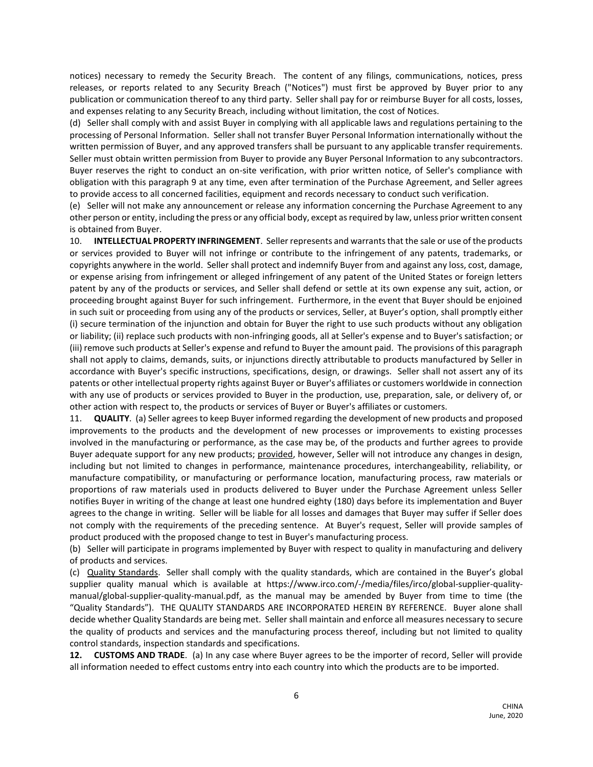notices) necessary to remedy the Security Breach. The content of any filings, communications, notices, press releases, or reports related to any Security Breach ("Notices") must first be approved by Buyer prior to any publication or communication thereof to any third party. Seller shall pay for or reimburse Buyer for all costs, losses, and expenses relating to any Security Breach, including without limitation, the cost of Notices.

(d) Seller shall comply with and assist Buyer in complying with all applicable laws and regulations pertaining to the processing of Personal Information. Seller shall not transfer Buyer Personal Information internationally without the written permission of Buyer, and any approved transfers shall be pursuant to any applicable transfer requirements. Seller must obtain written permission from Buyer to provide any Buyer Personal Information to any subcontractors. Buyer reserves the right to conduct an on-site verification, with prior written notice, of Seller's compliance with obligation with this paragraph 9 at any time, even after termination of the Purchase Agreement, and Seller agrees to provide access to all concerned facilities, equipment and records necessary to conduct such verification.

(e) Seller will not make any announcement or release any information concerning the Purchase Agreement to any other person or entity, including the press or any official body, except as required by law, unless prior written consent is obtained from Buyer.

10. **INTELLECTUAL PROPERTY INFRINGEMENT**. Seller represents and warrants that the sale or use of the products or services provided to Buyer will not infringe or contribute to the infringement of any patents, trademarks, or copyrights anywhere in the world. Seller shall protect and indemnify Buyer from and against any loss, cost, damage, or expense arising from infringement or alleged infringement of any patent of the United States or foreign letters patent by any of the products or services, and Seller shall defend or settle at its own expense any suit, action, or proceeding brought against Buyer for such infringement. Furthermore, in the event that Buyer should be enjoined in such suit or proceeding from using any of the products or services, Seller, at Buyer's option, shall promptly either (i) secure termination of the injunction and obtain for Buyer the right to use such products without any obligation or liability; (ii) replace such products with non-infringing goods, all at Seller's expense and to Buyer's satisfaction; or (iii) remove such products at Seller's expense and refund to Buyer the amount paid. The provisions of this paragraph shall not apply to claims, demands, suits, or injunctions directly attributable to products manufactured by Seller in accordance with Buyer's specific instructions, specifications, design, or drawings. Seller shall not assert any of its patents or other intellectual property rights against Buyer or Buyer's affiliates or customers worldwide in connection with any use of products or services provided to Buyer in the production, use, preparation, sale, or delivery of, or other action with respect to, the products or services of Buyer or Buyer's affiliates or customers.

11. **QUALITY**. (a) Seller agrees to keep Buyer informed regarding the development of new products and proposed improvements to the products and the development of new processes or improvements to existing processes involved in the manufacturing or performance, as the case may be, of the products and further agrees to provide Buyer adequate support for any new products; provided, however, Seller will not introduce any changes in design, including but not limited to changes in performance, maintenance procedures, interchangeability, reliability, or manufacture compatibility, or manufacturing or performance location, manufacturing process, raw materials or proportions of raw materials used in products delivered to Buyer under the Purchase Agreement unless Seller notifies Buyer in writing of the change at least one hundred eighty (180) days before its implementation and Buyer agrees to the change in writing. Seller will be liable for all losses and damages that Buyer may suffer if Seller does not comply with the requirements of the preceding sentence. At Buyer's request, Seller will provide samples of product produced with the proposed change to test in Buyer's manufacturing process.

(b) Seller will participate in programs implemented by Buyer with respect to quality in manufacturing and delivery of products and services.

(c) Quality Standards. Seller shall comply with the quality standards, which are contained in the Buyer's global supplier quality manual which is available at https://www.irco.com/-/media/files/irco/global-supplier-qualitymanual/global-supplier-quality-manual.pdf, as the manual may be amended by Buyer from time to time (the "Quality Standards"). THE QUALITY STANDARDS ARE INCORPORATED HEREIN BY REFERENCE. Buyer alone shall decide whether Quality Standards are being met. Seller shall maintain and enforce all measures necessary to secure the quality of products and services and the manufacturing process thereof, including but not limited to quality control standards, inspection standards and specifications.

**12. CUSTOMS AND TRADE**. (a) In any case where Buyer agrees to be the importer of record, Seller will provide all information needed to effect customs entry into each country into which the products are to be imported.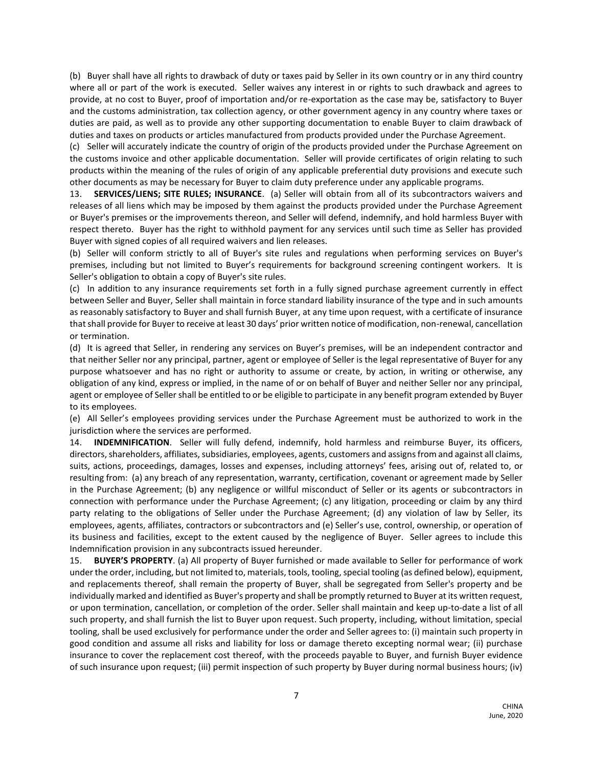(b) Buyer shall have all rights to drawback of duty or taxes paid by Seller in its own country or in any third country where all or part of the work is executed. Seller waives any interest in or rights to such drawback and agrees to provide, at no cost to Buyer, proof of importation and/or re-exportation as the case may be, satisfactory to Buyer and the customs administration, tax collection agency, or other government agency in any country where taxes or duties are paid, as well as to provide any other supporting documentation to enable Buyer to claim drawback of duties and taxes on products or articles manufactured from products provided under the Purchase Agreement.

(c) Seller will accurately indicate the country of origin of the products provided under the Purchase Agreement on the customs invoice and other applicable documentation. Seller will provide certificates of origin relating to such products within the meaning of the rules of origin of any applicable preferential duty provisions and execute such other documents as may be necessary for Buyer to claim duty preference under any applicable programs.

13. **SERVICES/LIENS; SITE RULES; INSURANCE**. (a) Seller will obtain from all of its subcontractors waivers and releases of all liens which may be imposed by them against the products provided under the Purchase Agreement or Buyer's premises or the improvements thereon, and Seller will defend, indemnify, and hold harmless Buyer with respect thereto. Buyer has the right to withhold payment for any services until such time as Seller has provided Buyer with signed copies of all required waivers and lien releases.

(b) Seller will conform strictly to all of Buyer's site rules and regulations when performing services on Buyer's premises, including but not limited to Buyer's requirements for background screening contingent workers. It is Seller's obligation to obtain a copy of Buyer's site rules.

(c) In addition to any insurance requirements set forth in a fully signed purchase agreement currently in effect between Seller and Buyer, Seller shall maintain in force standard liability insurance of the type and in such amounts as reasonably satisfactory to Buyer and shall furnish Buyer, at any time upon request, with a certificate of insurance that shall provide for Buyer to receive at least 30 days' prior written notice of modification, non-renewal, cancellation or termination.

(d) It is agreed that Seller, in rendering any services on Buyer's premises, will be an independent contractor and that neither Seller nor any principal, partner, agent or employee of Seller is the legal representative of Buyer for any purpose whatsoever and has no right or authority to assume or create, by action, in writing or otherwise, any obligation of any kind, express or implied, in the name of or on behalf of Buyer and neither Seller nor any principal, agent or employee of Seller shall be entitled to or be eligible to participate in any benefit program extended by Buyer to its employees.

(e) All Seller's employees providing services under the Purchase Agreement must be authorized to work in the jurisdiction where the services are performed.

14. **INDEMNIFICATION**. Seller will fully defend, indemnify, hold harmless and reimburse Buyer, its officers, directors, shareholders, affiliates, subsidiaries, employees, agents, customers and assigns from and against all claims, suits, actions, proceedings, damages, losses and expenses, including attorneys' fees, arising out of, related to, or resulting from: (a) any breach of any representation, warranty, certification, covenant or agreement made by Seller in the Purchase Agreement; (b) any negligence or willful misconduct of Seller or its agents or subcontractors in connection with performance under the Purchase Agreement; (c) any litigation, proceeding or claim by any third party relating to the obligations of Seller under the Purchase Agreement; (d) any violation of law by Seller, its employees, agents, affiliates, contractors or subcontractors and (e) Seller's use, control, ownership, or operation of its business and facilities, except to the extent caused by the negligence of Buyer. Seller agrees to include this Indemnification provision in any subcontracts issued hereunder.

15. **BUYER'S PROPERTY**. (a) All property of Buyer furnished or made available to Seller for performance of work under the order, including, but not limited to, materials, tools, tooling, special tooling (as defined below), equipment, and replacements thereof, shall remain the property of Buyer, shall be segregated from Seller's property and be individually marked and identified as Buyer's property and shall be promptly returned to Buyer at its written request, or upon termination, cancellation, or completion of the order. Seller shall maintain and keep up-to-date a list of all such property, and shall furnish the list to Buyer upon request. Such property, including, without limitation, special tooling, shall be used exclusively for performance under the order and Seller agrees to: (i) maintain such property in good condition and assume all risks and liability for loss or damage thereto excepting normal wear; (ii) purchase insurance to cover the replacement cost thereof, with the proceeds payable to Buyer, and furnish Buyer evidence of such insurance upon request; (iii) permit inspection of such property by Buyer during normal business hours; (iv)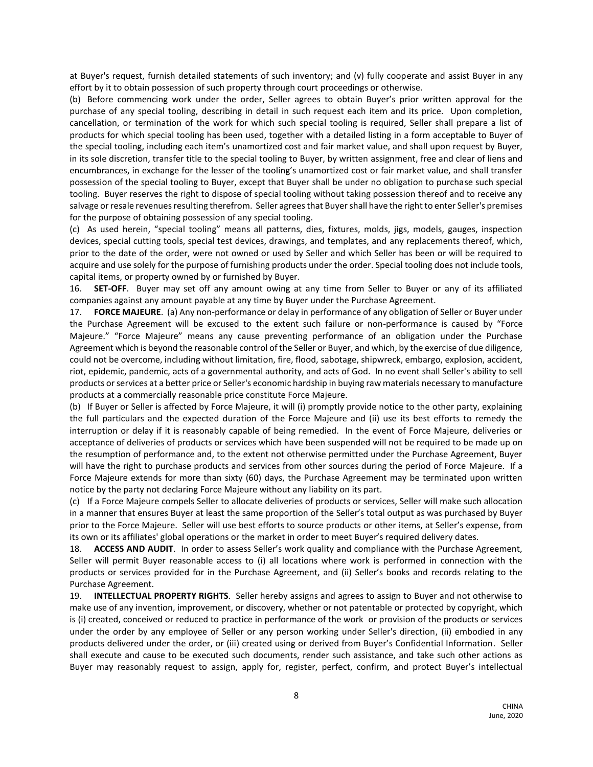at Buyer's request, furnish detailed statements of such inventory; and (v) fully cooperate and assist Buyer in any effort by it to obtain possession of such property through court proceedings or otherwise.

(b) Before commencing work under the order, Seller agrees to obtain Buyer's prior written approval for the purchase of any special tooling, describing in detail in such request each item and its price. Upon completion, cancellation, or termination of the work for which such special tooling is required, Seller shall prepare a list of products for which special tooling has been used, together with a detailed listing in a form acceptable to Buyer of the special tooling, including each item's unamortized cost and fair market value, and shall upon request by Buyer, in its sole discretion, transfer title to the special tooling to Buyer, by written assignment, free and clear of liens and encumbrances, in exchange for the lesser of the tooling's unamortized cost or fair market value, and shall transfer possession of the special tooling to Buyer, except that Buyer shall be under no obligation to purchase such special tooling. Buyer reserves the right to dispose of special tooling without taking possession thereof and to receive any salvage or resale revenues resulting therefrom. Seller agrees that Buyer shall have the right to enter Seller's premises for the purpose of obtaining possession of any special tooling.

(c) As used herein, "special tooling" means all patterns, dies, fixtures, molds, jigs, models, gauges, inspection devices, special cutting tools, special test devices, drawings, and templates, and any replacements thereof, which, prior to the date of the order, were not owned or used by Seller and which Seller has been or will be required to acquire and use solely for the purpose of furnishing products under the order. Special tooling does not include tools, capital items, or property owned by or furnished by Buyer.

16. **SET-OFF**. Buyer may set off any amount owing at any time from Seller to Buyer or any of its affiliated companies against any amount payable at any time by Buyer under the Purchase Agreement.

17. **FORCE MAJEURE**. (a) Any non-performance or delay in performance of any obligation of Seller or Buyer under the Purchase Agreement will be excused to the extent such failure or non-performance is caused by "Force Majeure." "Force Majeure" means any cause preventing performance of an obligation under the Purchase Agreement which is beyond the reasonable control of the Seller or Buyer, and which, by the exercise of due diligence, could not be overcome, including without limitation, fire, flood, sabotage, shipwreck, embargo, explosion, accident, riot, epidemic, pandemic, acts of a governmental authority, and acts of God. In no event shall Seller's ability to sell products or services at a better price or Seller's economic hardship in buying raw materials necessary to manufacture products at a commercially reasonable price constitute Force Majeure.

(b) If Buyer or Seller is affected by Force Majeure, it will (i) promptly provide notice to the other party, explaining the full particulars and the expected duration of the Force Majeure and (ii) use its best efforts to remedy the interruption or delay if it is reasonably capable of being remedied. In the event of Force Majeure, deliveries or acceptance of deliveries of products or services which have been suspended will not be required to be made up on the resumption of performance and, to the extent not otherwise permitted under the Purchase Agreement, Buyer will have the right to purchase products and services from other sources during the period of Force Majeure. If a Force Majeure extends for more than sixty (60) days, the Purchase Agreement may be terminated upon written notice by the party not declaring Force Majeure without any liability on its part.

(c) If a Force Majeure compels Seller to allocate deliveries of products or services, Seller will make such allocation in a manner that ensures Buyer at least the same proportion of the Seller's total output as was purchased by Buyer prior to the Force Majeure. Seller will use best efforts to source products or other items, at Seller's expense, from its own or its affiliates' global operations or the market in order to meet Buyer's required delivery dates.

18. **ACCESS AND AUDIT**. In order to assess Seller's work quality and compliance with the Purchase Agreement, Seller will permit Buyer reasonable access to (i) all locations where work is performed in connection with the products or services provided for in the Purchase Agreement, and (ii) Seller's books and records relating to the Purchase Agreement.

19. **INTELLECTUAL PROPERTY RIGHTS**. Seller hereby assigns and agrees to assign to Buyer and not otherwise to make use of any invention, improvement, or discovery, whether or not patentable or protected by copyright, which is (i) created, conceived or reduced to practice in performance of the work or provision of the products or services under the order by any employee of Seller or any person working under Seller's direction, (ii) embodied in any products delivered under the order, or (iii) created using or derived from Buyer's Confidential Information. Seller shall execute and cause to be executed such documents, render such assistance, and take such other actions as Buyer may reasonably request to assign, apply for, register, perfect, confirm, and protect Buyer's intellectual